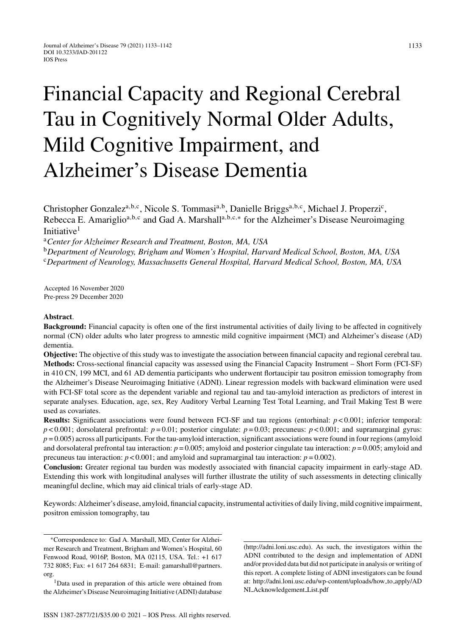# Financial Capacity and Regional Cerebral Tau in Cognitively Normal Older Adults, Mild Cognitive Impairment, and Alzheimer's Disease Dementia

Christopher Gonzalez<sup>a,b,c</sup>, Nicole S. Tommasi<sup>a,b</sup>, Danielle Briggs<sup>a,b,c</sup>, Michael J. Properzi<sup>c</sup>, Rebecca E. Amariglio<sup>a,b,c</sup> and Gad A. Marshall<sup>a,b,c,∗</sup> for the Alzheimer's Disease Neuroimaging Initiative<sup>1</sup>

<sup>a</sup>*Center for Alzheimer Research and Treatment, Boston, MA, USA*

<sup>b</sup>*Department of Neurology, Brigham and Women's Hospital, Harvard Medical School, Boston, MA, USA* <sup>c</sup>*Department of Neurology, Massachusetts General Hospital, Harvard Medical School, Boston, MA, USA*

Accepted 16 November 2020 Pre-press 29 December 2020

# **Abstract**.

**Background:** Financial capacity is often one of the first instrumental activities of daily living to be affected in cognitively normal (CN) older adults who later progress to amnestic mild cognitive impairment (MCI) and Alzheimer's disease (AD) dementia.

**Objective:** The objective of this study was to investigate the association between financial capacity and regional cerebral tau. **Methods:** Cross-sectional financial capacity was assessed using the Financial Capacity Instrument – Short Form (FCI-SF) in 410 CN, 199 MCI, and 61 AD dementia participants who underwent flortaucipir tau positron emission tomography from the Alzheimer's Disease Neuroimaging Initiative (ADNI). Linear regression models with backward elimination were used with FCI-SF total score as the dependent variable and regional tau and tau-amyloid interaction as predictors of interest in separate analyses. Education, age, sex, Rey Auditory Verbal Learning Test Total Learning, and Trail Making Test B were used as covariates.

**Results:** Significant associations were found between FCI-SF and tau regions (entorhinal:  $p < 0.001$ ; inferior temporal:  $p$  < 0.001; dorsolateral prefrontal:  $p = 0.01$ ; posterior cingulate:  $p = 0.03$ ; precuneus:  $p$  < 0.001; and supramarginal gyrus: *p* = 0.005) across all participants. For the tau-amyloid interaction, significant associations were found in four regions (amyloid and dorsolateral prefrontal tau interaction:  $p = 0.005$ ; amyloid and posterior cingulate tau interaction:  $p = 0.005$ ; amyloid and precuneus tau interaction:  $p < 0.001$ ; and amyloid and supramarginal tau interaction:  $p = 0.002$ ).

**Conclusion:** Greater regional tau burden was modestly associated with financial capacity impairment in early-stage AD. Extending this work with longitudinal analyses will further illustrate the utility of such assessments in detecting clinically meaningful decline, which may aid clinical trials of early-stage AD.

Keywords: Alzheimer's disease, amyloid, financial capacity, instrumental activities of daily living, mild cognitive impairment, positron emission tomography, tau

[\(http://adni.loni.usc.edu\)](http://adni.loni.usc.edu). As such, the investigators within the ADNI contributed to the design and implementation of ADNI and/or provided data but did not participate in analysis or writing of this report. A complete listing of ADNI investigators can be found at: [http://adni.loni.usc.edu/wp-content/uploads/how](http://adni.loni.usc.edu/wp-content/uploads/how_to_apply/ADNI_Acknowledgement_List.pdf) to apply/AD NI [Acknowledgement](http://adni.loni.usc.edu/wp-content/uploads/how_to_apply/ADNI_Acknowledgement_List.pdf) List.pdf

<sup>∗</sup>Correspondence to: Gad A. Marshall, MD, Center for Alzheimer Research and Treatment, Brigham and Women's Hospital, 60 Fenwood Road, 9016P, Boston, MA 02115, USA. Tel.: +1 617 732 8085; Fax: +1 617 264 6831; E-mail: [gamarshall@partners.](mailto:gamarshall@partners.{penalty -@M }org) org.

<sup>1</sup>Data used in preparation of this article were obtained from the Alzheimer's Disease Neuroimaging Initiative (ADNI) database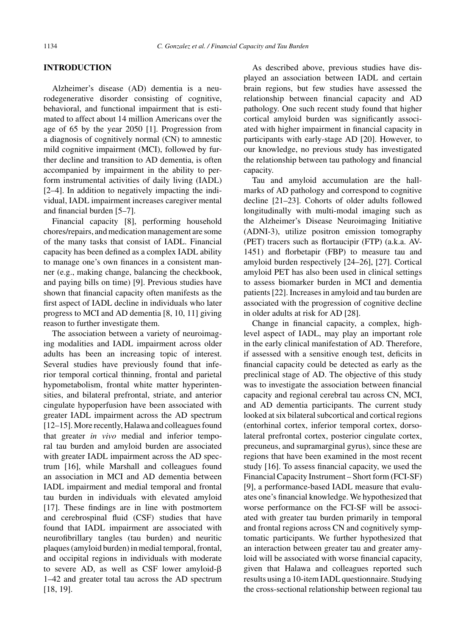#### **INTRODUCTION**

Alzheimer's disease (AD) dementia is a neurodegenerative disorder consisting of cognitive, behavioral, and functional impairment that is estimated to affect about 14 million Americans over the age of 65 by the year 2050 [1]. Progression from a diagnosis of cognitively normal (CN) to amnestic mild cognitive impairment (MCI), followed by further decline and transition to AD dementia, is often accompanied by impairment in the ability to perform instrumental activities of daily living (IADL) [2–4]. In addition to negatively impacting the individual, IADL impairment increases caregiver mental and financial burden [5–7].

Financial capacity [8], performing household chores/repairs, and medication management are some of the many tasks that consist of IADL. Financial capacity has been defined as a complex IADL ability to manage one's own finances in a consistent manner (e.g., making change, balancing the checkbook, and paying bills on time) [9]. Previous studies have shown that financial capacity often manifests as the first aspect of IADL decline in individuals who later progress to MCI and AD dementia [8, 10, 11] giving reason to further investigate them.

The association between a variety of neuroimaging modalities and IADL impairment across older adults has been an increasing topic of interest. Several studies have previously found that inferior temporal cortical thinning, frontal and parietal hypometabolism, frontal white matter hyperintensities, and bilateral prefrontal, striate, and anterior cingulate hypoperfusion have been associated with greater IADL impairment across the AD spectrum [12–15]. More recently, Halawa and colleagues found that greater *in vivo* medial and inferior temporal tau burden and amyloid burden are associated with greater IADL impairment across the AD spectrum [16], while Marshall and colleagues found an association in MCI and AD dementia between IADL impairment and medial temporal and frontal tau burden in individuals with elevated amyloid [17]. These findings are in line with postmortem and cerebrospinal fluid (CSF) studies that have found that IADL impairment are associated with neurofibrillary tangles (tau burden) and neuritic plaques (amyloid burden) in medial temporal, frontal, and occipital regions in individuals with moderate to severe AD, as well as CSF lower amyloid- $\beta$ 1–42 and greater total tau across the AD spectrum [18, 19].

As described above, previous studies have displayed an association between IADL and certain brain regions, but few studies have assessed the relationship between financial capacity and AD pathology. One such recent study found that higher cortical amyloid burden was significantly associated with higher impairment in financial capacity in participants with early-stage AD [20]. However, to our knowledge, no previous study has investigated the relationship between tau pathology and financial capacity.

Tau and amyloid accumulation are the hallmarks of AD pathology and correspond to cognitive decline [21–23]. Cohorts of older adults followed longitudinally with multi-modal imaging such as the Alzheimer's Disease Neuroimaging Initiative (ADNI-3), utilize positron emission tomography (PET) tracers such as flortaucipir (FTP) (a.k.a. AV-1451) and florbetapir (FBP) to measure tau and amyloid burden respectively [24–26], [27]. Cortical amyloid PET has also been used in clinical settings to assess biomarker burden in MCI and dementia patients [22]. Increases in amyloid and tau burden are associated with the progression of cognitive decline in older adults at risk for AD [28].

Change in financial capacity, a complex, highlevel aspect of IADL, may play an important role in the early clinical manifestation of AD. Therefore, if assessed with a sensitive enough test, deficits in financial capacity could be detected as early as the preclinical stage of AD. The objective of this study was to investigate the association between financial capacity and regional cerebral tau across CN, MCI, and AD dementia participants. The current study looked at six bilateral subcortical and cortical regions (entorhinal cortex, inferior temporal cortex, dorsolateral prefrontal cortex, posterior cingulate cortex, precuneus, and supramarginal gyrus), since these are regions that have been examined in the most recent study [16]. To assess financial capacity, we used the Financial Capacity Instrument – Short form (FCI-SF) [9], a performance-based IADL measure that evaluates one's financial knowledge. We hypothesized that worse performance on the FCI-SF will be associated with greater tau burden primarily in temporal and frontal regions across CN and cognitively symptomatic participants. We further hypothesized that an interaction between greater tau and greater amyloid will be associated with worse financial capacity, given that Halawa and colleagues reported such results using a 10-item IADL questionnaire. Studying the cross-sectional relationship between regional tau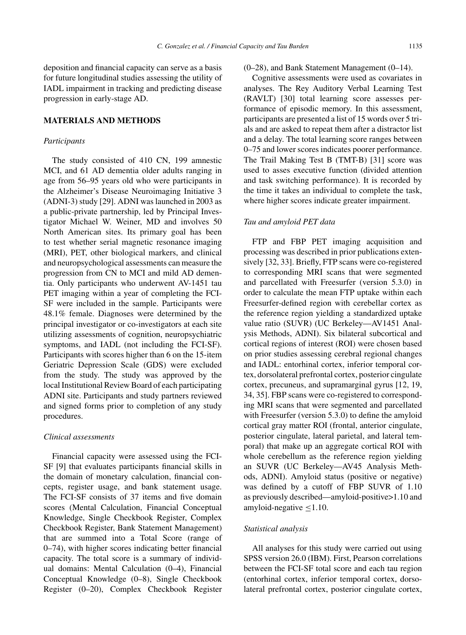deposition and financial capacity can serve as a basis for future longitudinal studies assessing the utility of IADL impairment in tracking and predicting disease progression in early-stage AD.

# **MATERIALS AND METHODS**

#### *Participants*

The study consisted of 410 CN, 199 amnestic MCI, and 61 AD dementia older adults ranging in age from 56–95 years old who were participants in the Alzheimer's Disease Neuroimaging Initiative 3 (ADNI-3) study [29]. ADNI was launched in 2003 as a public-private partnership, led by Principal Investigator Michael W. Weiner, MD and involves 50 North American sites. Its primary goal has been to test whether serial magnetic resonance imaging (MRI), PET, other biological markers, and clinical and neuropsychological assessments can measure the progression from CN to MCI and mild AD dementia. Only participants who underwent AV-1451 tau PET imaging within a year of completing the FCI-SF were included in the sample. Participants were 48.1% female. Diagnoses were determined by the principal investigator or co-investigators at each site utilizing assessments of cognition, neuropsychiatric symptoms, and IADL (not including the FCI-SF). Participants with scores higher than 6 on the 15-item Geriatric Depression Scale (GDS) were excluded from the study. The study was approved by the local Institutional Review Board of each participating ADNI site. Participants and study partners reviewed and signed forms prior to completion of any study procedures.

#### *Clinical assessments*

Financial capacity were assessed using the FCI-SF [9] that evaluates participants financial skills in the domain of monetary calculation, financial concepts, register usage, and bank statement usage. The FCI-SF consists of 37 items and five domain scores (Mental Calculation, Financial Conceptual Knowledge, Single Checkbook Register, Complex Checkbook Register, Bank Statement Management) that are summed into a Total Score (range of 0–74), with higher scores indicating better financial capacity. The total score is a summary of individual domains: Mental Calculation (0–4), Financial Conceptual Knowledge (0–8), Single Checkbook Register (0–20), Complex Checkbook Register

(0–28), and Bank Statement Management (0–14).

Cognitive assessments were used as covariates in analyses. The Rey Auditory Verbal Learning Test (RAVLT) [30] total learning score assesses performance of episodic memory. In this assessment, participants are presented a list of 15 words over 5 trials and are asked to repeat them after a distractor list and a delay. The total learning score ranges between 0–75 and lower scores indicates poorer performance. The Trail Making Test B (TMT-B) [31] score was used to asses executive function (divided attention and task switching performance). It is recorded by the time it takes an individual to complete the task, where higher scores indicate greater impairment.

# *Tau and amyloid PET data*

FTP and FBP PET imaging acquisition and processing was described in prior publications extensively [32, 33]. Briefly, FTP scans were co-registered to corresponding MRI scans that were segmented and parcellated with Freesurfer (version 5.3.0) in order to calculate the mean FTP uptake within each Freesurfer-defined region with cerebellar cortex as the reference region yielding a standardized uptake value ratio (SUVR) (UC Berkeley—AV1451 Analysis Methods, ADNI). Six bilateral subcortical and cortical regions of interest (ROI) were chosen based on prior studies assessing cerebral regional changes and IADL: entorhinal cortex, inferior temporal cortex, dorsolateral prefrontal cortex, posterior cingulate cortex, precuneus, and supramarginal gyrus [12, 19, 34, 35]. FBP scans were co-registered to corresponding MRI scans that were segmented and parcellated with Freesurfer (version 5.3.0) to define the amyloid cortical gray matter ROI (frontal, anterior cingulate, posterior cingulate, lateral parietal, and lateral temporal) that make up an aggregate cortical ROI with whole cerebellum as the reference region yielding an SUVR (UC Berkeley—AV45 Analysis Methods, ADNI). Amyloid status (positive or negative) was defined by a cutoff of FBP SUVR of 1.10 as previously described—amyloid-positive>1.10 and amyloid-negative ≤1.10.

#### *Statistical analysis*

All analyses for this study were carried out using SPSS version 26.0 (IBM). First, Pearson correlations between the FCI-SF total score and each tau region (entorhinal cortex, inferior temporal cortex, dorsolateral prefrontal cortex, posterior cingulate cortex,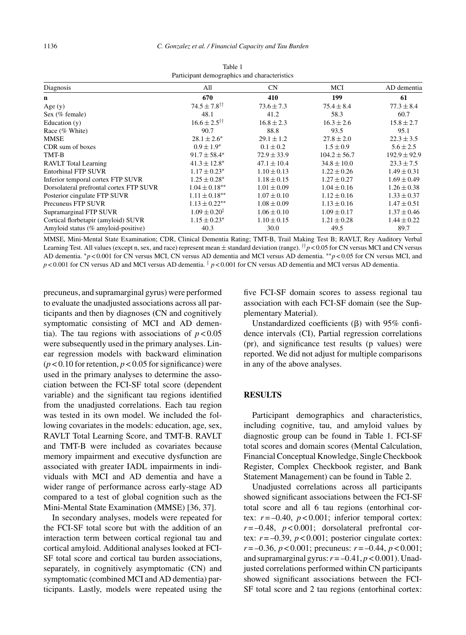| I deterpant demographies and endeaternation |                                 |                 |                  |                  |  |
|---------------------------------------------|---------------------------------|-----------------|------------------|------------------|--|
| Diagnosis                                   | All                             | CN              | MCI              | AD dementia      |  |
| $\mathbf n$                                 | 670                             | 410             | 199              | 61               |  |
| Age $(y)$                                   | $74.5 \pm 7.8^{\dagger\dagger}$ | $73.6 \pm 7.3$  | $75.4 \pm 8.4$   | $77.3 \pm 8.4$   |  |
| Sex (% female)                              | 48.1                            | 41.2            | 58.3             | 60.7             |  |
| Education $(v)$                             | $16.6 \pm 2.5^{\dagger\dagger}$ | $16.8 \pm 2.3$  | $16.3 \pm 2.6$   | $15.8 \pm 2.7$   |  |
| Race (% White)                              | 90.7                            | 88.8            | 93.5             | 95.1             |  |
| MMSE                                        | $28.1 \pm 2.6^*$                | $29.1 \pm 1.2$  | $27.8 \pm 2.0$   | $22.3 \pm 3.5$   |  |
| CDR sum of boxes                            | $0.9 \pm 1.9^*$                 | $0.1 \pm 0.2$   | $1.5 \pm 0.9$    | $5.6 \pm 2.5$    |  |
| TMT-B                                       | $91.7 \pm 58.4*$                | $72.9 \pm 33.9$ | $104.2 \pm 56.7$ | $192.9 \pm 92.9$ |  |
| <b>RAVLT</b> Total Learning                 | $41.3 \pm 12.8^*$               | $47.1 \pm 10.4$ | $34.8 \pm 10.0$  | $23.3 \pm 7.5$   |  |
| <b>Entorhinal FTP SUVR</b>                  | $1.17 \pm 0.23$ *               | $1.10 \pm 0.13$ | $1.22 \pm 0.26$  | $1.49 \pm 0.31$  |  |
| Inferior temporal cortex FTP SUVR           | $1.25 \pm 0.28^*$               | $1.18 \pm 0.15$ | $1.27 \pm 0.27$  | $1.69 \pm 0.49$  |  |
| Dorsolateral prefrontal cortex FTP SUVR     | $1.04 \pm 0.18**$               | $1.01 \pm 0.09$ | $1.04 \pm 0.16$  | $1.26 \pm 0.38$  |  |
| Posterior cingulate FTP SUVR                | $1.11 \pm 0.18***$              | $1.07 \pm 0.10$ | $1.12 \pm 0.16$  | $1.33 \pm 0.37$  |  |
| Precuneus FTP SUVR                          | $1.13 \pm 0.22$ **              | $1.08 \pm 0.09$ | $1.13 \pm 0.16$  | $1.47 \pm 0.51$  |  |
| Supramarginal FTP SUVR                      | $1.09 \pm 0.20^{\ddagger}$      | $1.06 \pm 0.10$ | $1.09 \pm 0.17$  | $1.37 \pm 0.46$  |  |
| Cortical florbetapir (amyloid) SUVR         | $1.15 \pm 0.23^*$               | $1.10 \pm 0.15$ | $1.21 \pm 0.28$  | $1.44 \pm 0.22$  |  |
| Amyloid status (% amyloid-positive)         | 40.3                            | 30.0            | 49.5             | 89.7             |  |

Table 1 Participant demographics and characteristics

MMSE, Mini-Mental State Examination; CDR, Clinical Dementia Rating; TMT-B, Trail Making Test B; RAVLT, Rey Auditory Verbal Learning Test. All values (except n, sex, and race) represent mean  $\pm$  standard deviation (range). <sup>††</sup>*p* < 0.05 for CN versus MCI and CN versus AD dementia. ∗*p* < 0.001 for CN versus MCI, CN versus AD dementia and MCI versus AD dementia. ∗∗*p* < 0.05 for CN versus MCI, and  $p < 0.001$  for CN versus AD and MCI versus AD dementia.  $\frac{1}{2}$   $p < 0.001$  for CN versus AD dementia and MCI versus AD dementia.

precuneus, and supramarginal gyrus) were performed to evaluate the unadjusted associations across all participants and then by diagnoses (CN and cognitively symptomatic consisting of MCI and AD dementia). The tau regions with associations of  $p < 0.05$ were subsequently used in the primary analyses. Linear regression models with backward elimination  $(p < 0.10$  for retention,  $p < 0.05$  for significance) were used in the primary analyses to determine the association between the FCI-SF total score (dependent variable) and the significant tau regions identified from the unadjusted correlations. Each tau region was tested in its own model. We included the following covariates in the models: education, age, sex, RAVLT Total Learning Score, and TMT-B. RAVLT and TMT-B were included as covariates because memory impairment and executive dysfunction are associated with greater IADL impairments in individuals with MCI and AD dementia and have a wider range of performance across early-stage AD compared to a test of global cognition such as the Mini-Mental State Examination (MMSE) [36, 37].

In secondary analyses, models were repeated for the FCI-SF total score but with the addition of an interaction term between cortical regional tau and cortical amyloid. Additional analyses looked at FCI-SF total score and cortical tau burden associations, separately, in cognitively asymptomatic (CN) and symptomatic (combined MCI and AD dementia) participants. Lastly, models were repeated using the

five FCI-SF domain scores to assess regional tau association with each FCI-SF domain (see the Supplementary Material).

Unstandardized coefficients  $(\beta)$  with 95% confidence intervals (CI), Partial regression correlations (pr), and significance test results (p values) were reported. We did not adjust for multiple comparisons in any of the above analyses.

# **RESULTS**

Participant demographics and characteristics, including cognitive, tau, and amyloid values by diagnostic group can be found in Table 1. FCI-SF total scores and domain scores (Mental Calculation, Financial Conceptual Knowledge, Single Checkbook Register, Complex Checkbook register, and Bank Statement Management) can be found in Table 2.

Unadjusted correlations across all participants showed significant associations between the FCI-SF total score and all 6 tau regions (entorhinal cortex:  $r = -0.40$ ,  $p < 0.001$ ; inferior temporal cortex:  $r = -0.48$ ,  $p < 0.001$ ; dorsolateral prefrontal cortex:  $r = -0.39$ ,  $p < 0.001$ ; posterior cingulate cortex: *r* = –0.36, *p* < 0.001; precuneus: *r* = –0.44, *p* < 0.001; and supramarginal gyrus:  $r = -0.41$ ,  $p < 0.001$ ). Unadjusted correlations performed within CN participants showed significant associations between the FCI-SF total score and 2 tau regions (entorhinal cortex: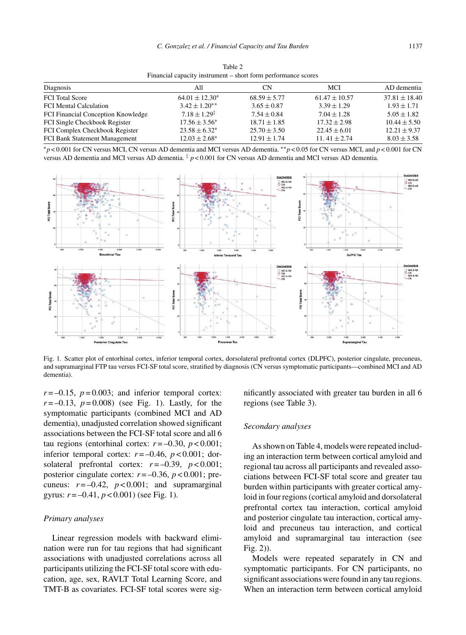| Financial capacity instrument – short form performance scores |                            |                  |                   |                   |
|---------------------------------------------------------------|----------------------------|------------------|-------------------|-------------------|
| Diagnosis                                                     | All                        | <b>CN</b>        | <b>MCI</b>        | AD dementia       |
| <b>FCI</b> Total Score                                        | $64.01 \pm 12.30^*$        | $68.59 \pm 5.77$ | $61.47 \pm 10.57$ | $37.81 \pm 18.40$ |
| <b>FCI</b> Mental Calculation                                 | $3.42 \pm 1.20$ **         | $3.65 \pm 0.87$  | $3.39 \pm 1.29$   | $1.93 \pm 1.71$   |
| FCI Financial Conception Knowledge                            | $7.18 \pm 1.29^{\ddagger}$ | $7.54 \pm 0.84$  | $7.04 \pm 1.28$   | $5.05 \pm 1.82$   |
| FCI Single Checkbook Register                                 | $17.56 \pm 3.56^*$         | $18.71 \pm 1.85$ | $17.32 \pm 2.98$  | $10.44 \pm 5.50$  |
| FCI Complex Checkbook Register                                | $23.58 \pm 6.32^*$         | $25.70 \pm 3.50$ | $22.45 \pm 6.01$  | $12.21 \pm 9.37$  |
| FCI Bank Statement Management                                 | $12.03 \pm 2.68^*$         | $12.91 \pm 1.74$ | $11.41 \pm 2.74$  | $8.03 \pm 3.58$   |

Table 2

| $\gamma$ $>$ 0.001 for CN versus MCI, CN versus AD dementia and MCI versus AD dementia. $\gamma$ $>$ 0.05 for CN versus MCI, and $p$ < 0.001 for CN |  |
|-----------------------------------------------------------------------------------------------------------------------------------------------------|--|
| versus AD dementia and MCI versus AD dementia. $\frac{1}{4} p < 0.001$ for CN versus AD dementia and MCI versus AD dementia.                        |  |



Fig. 1. Scatter plot of entorhinal cortex, inferior temporal cortex, dorsolateral prefrontal cortex (DLPFC), posterior cingulate, precuneus, and supramarginal FTP tau versus FCI-SF total score, stratified by diagnosis (CN versus symptomatic participants—combined MCI and AD dementia).

 $r = -0.15$ ,  $p = 0.003$ ; and inferior temporal cortex:  $r = -0.13$ ,  $p = 0.008$ ) (see Fig. 1). Lastly, for the symptomatic participants (combined MCI and AD dementia), unadjusted correlation showed significant associations between the FCI-SF total score and all 6 tau regions (entorhinal cortex:  $r = -0.30$ ,  $p < 0.001$ ; inferior temporal cortex:  $r = -0.46$ ,  $p < 0.001$ ; dorsolateral prefrontal cortex:  $r = -0.39$ ,  $p < 0.001$ ; posterior cingulate cortex:  $r = -0.36$ ,  $p < 0.001$ ; precuneus:  $r = -0.42$ ,  $p < 0.001$ ; and supramarginal gyrus:  $r = -0.41$ ,  $p < 0.001$ ) (see Fig. 1).

#### *Primary analyses*

Linear regression models with backward elimination were run for tau regions that had significant associations with unadjusted correlations across all participants utilizing the FCI-SF total score with education, age, sex, RAVLT Total Learning Score, and TMT-B as covariates. FCI-SF total scores were significantly associated with greater tau burden in all 6 regions (see Table 3).

#### *Secondary analyses*

As shown on Table 4, models were repeated including an interaction term between cortical amyloid and regional tau across all participants and revealed associations between FCI-SF total score and greater tau burden within participants with greater cortical amyloid in four regions (cortical amyloid and dorsolateral prefrontal cortex tau interaction, cortical amyloid and posterior cingulate tau interaction, cortical amyloid and precuneus tau interaction, and cortical amyloid and supramarginal tau interaction (see Fig. 2)).

Models were repeated separately in CN and symptomatic participants. For CN participants, no significant associations were found in any tau regions. When an interaction term between cortical amyloid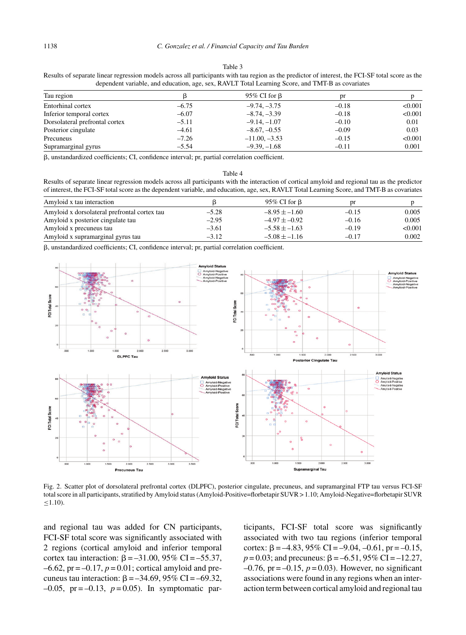#### Table 3

Results of separate linear regression models across all participants with tau region as the predictor of interest, the FCI-SF total score as the dependent variable, and education, age, sex, RAVLT Total Learning Score, and TMT-B as covariates

| Tau region                     |         | 95% CI for $\beta$ | pr      |         |
|--------------------------------|---------|--------------------|---------|---------|
| Entorhinal cortex              | $-6.75$ | $-9.74, -3.75$     | $-0.18$ | < 0.001 |
| Inferior temporal cortex       | $-6.07$ | $-8.74, -3.39$     | $-0.18$ | < 0.001 |
| Dorsolateral prefrontal cortex | $-5.11$ | $-9.14, -1.07$     | $-0.10$ | 0.01    |
| Posterior cingulate            | $-4.61$ | $-8.67, -0.55$     | $-0.09$ | 0.03    |
| Precuneus                      | $-7.26$ | $-11.00, -3.53$    | $-0.15$ | < 0.001 |
| Supramarginal gyrus            | $-5.54$ | $-9.39, -1.68$     | $-0.11$ | 0.001   |

-, unstandardized coefficients; CI, confidence interval; pr, partial correlation coefficient.

|--|--|

Results of separate linear regression models across all participants with the interaction of cortical amyloid and regional tau as the predictor of interest, the FCI-SF total score as the dependent variable, and education, age, sex, RAVLT Total Learning Score, and TMT-B as covariates

| Amyloid x tau interaction                    |         | 95% CI for $\beta$ |         |         |
|----------------------------------------------|---------|--------------------|---------|---------|
| Amyloid x dorsolateral prefrontal cortex tau | $-5.28$ | $-8.95 + -1.60$    | $-0.15$ | 0.005   |
| Amyloid x posterior cingulate tau            | $-2.95$ | $-4.97 + -0.92$    | $-0.16$ | 0.005   |
| Amyloid x precuneus tau                      | $-3.61$ | $-5.58 + -1.63$    | $-0.19$ | < 0.001 |
| Amyloid x supramarginal gyrus tau            | $-3.12$ | $-5.08 + -1.16$    | $-0.17$ | 0.002   |

-, unstandardized coefficients; CI, confidence interval; pr, partial correlation coefficient.



Fig. 2. Scatter plot of dorsolateral prefrontal cortex (DLPFC), posterior cingulate, precuneus, and supramarginal FTP tau versus FCI-SF total score in all participants, stratified by Amyloid status (Amyloid-Positive=florbetapir SUVR > 1.10; Amyloid-Negative=florbetapir SUVR  $≤1.10$ ).

and regional tau was added for CN participants, FCI-SF total score was significantly associated with 2 regions (cortical amyloid and inferior temporal cortex tau interaction:  $\beta = -31.00, 95\% \text{ CI} = -55.37,$  $-6.62$ ,  $pr = -0.17$ ,  $p = 0.01$ ; cortical amyloid and precuneus tau interaction:  $\beta = -34.69, 95\%$  CI = -69.32,  $-0.05$ , pr =  $-0.13$ ,  $p = 0.05$ ). In symptomatic participants, FCI-SF total score was significantly associated with two tau regions (inferior temporal cortex:  $\beta = -4.83$ , 95% CI = -9.04, -0.61, pr = -0.15,  $p = 0.03$ ; and precuneus:  $\beta = -6.51$ , 95% CI = -12.27,  $-0.76$ , pr =  $-0.15$ ,  $p = 0.03$ ). However, no significant associations were found in any regions when an interaction term between cortical amyloid and regional tau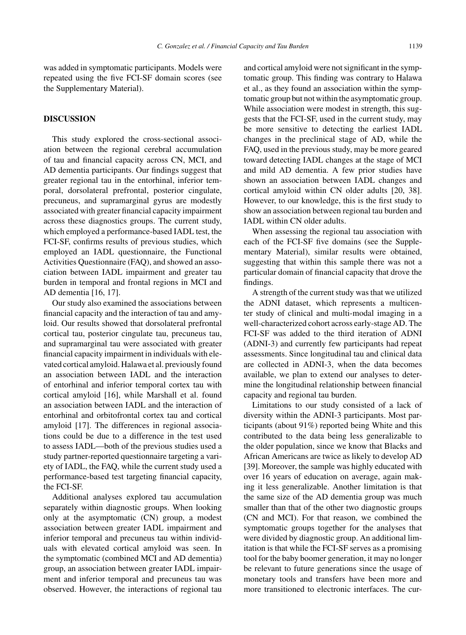was added in symptomatic participants. Models were repeated using the five FCI-SF domain scores (see the Supplementary Material).

# **DISCUSSION**

This study explored the cross-sectional association between the regional cerebral accumulation of tau and financial capacity across CN, MCI, and AD dementia participants. Our findings suggest that greater regional tau in the entorhinal, inferior temporal, dorsolateral prefrontal, posterior cingulate, precuneus, and supramarginal gyrus are modestly associated with greater financial capacity impairment across these diagnostics groups. The current study, which employed a performance-based IADL test, the FCI-SF, confirms results of previous studies, which employed an IADL questionnaire, the Functional Activities Questionnaire (FAQ), and showed an association between IADL impairment and greater tau burden in temporal and frontal regions in MCI and AD dementia [16, 17].

Our study also examined the associations between financial capacity and the interaction of tau and amyloid. Our results showed that dorsolateral prefrontal cortical tau, posterior cingulate tau, precuneus tau, and supramarginal tau were associated with greater financial capacity impairment in individuals with elevated cortical amyloid. Halawa et al. previously found an association between IADL and the interaction of entorhinal and inferior temporal cortex tau with cortical amyloid [16], while Marshall et al. found an association between IADL and the interaction of entorhinal and orbitofrontal cortex tau and cortical amyloid [17]. The differences in regional associations could be due to a difference in the test used to assess IADL—both of the previous studies used a study partner-reported questionnaire targeting a variety of IADL, the FAQ, while the current study used a performance-based test targeting financial capacity, the FCI-SF.

Additional analyses explored tau accumulation separately within diagnostic groups. When looking only at the asymptomatic (CN) group, a modest association between greater IADL impairment and inferior temporal and precuneus tau within individuals with elevated cortical amyloid was seen. In the symptomatic (combined MCI and AD dementia) group, an association between greater IADL impairment and inferior temporal and precuneus tau was observed. However, the interactions of regional tau

and cortical amyloid were not significant in the symptomatic group. This finding was contrary to Halawa et al., as they found an association within the symptomatic group but not within the asymptomatic group. While association were modest in strength, this suggests that the FCI-SF, used in the current study, may be more sensitive to detecting the earliest IADL changes in the preclinical stage of AD, while the FAQ, used in the previous study, may be more geared toward detecting IADL changes at the stage of MCI and mild AD dementia. A few prior studies have shown an association between IADL changes and cortical amyloid within CN older adults [20, 38]. However, to our knowledge, this is the first study to show an association between regional tau burden and IADL within CN older adults.

When assessing the regional tau association with each of the FCI-SF five domains (see the Supplementary Material), similar results were obtained, suggesting that within this sample there was not a particular domain of financial capacity that drove the findings.

A strength of the current study was that we utilized the ADNI dataset, which represents a multicenter study of clinical and multi-modal imaging in a well-characterized cohort across early-stage AD. The FCI-SF was added to the third iteration of ADNI (ADNI-3) and currently few participants had repeat assessments. Since longitudinal tau and clinical data are collected in ADNI-3, when the data becomes available, we plan to extend our analyses to determine the longitudinal relationship between financial capacity and regional tau burden.

Limitations to our study consisted of a lack of diversity within the ADNI-3 participants. Most participants (about 91%) reported being White and this contributed to the data being less generalizable to the older population, since we know that Blacks and African Americans are twice as likely to develop AD [39]. Moreover, the sample was highly educated with over 16 years of education on average, again making it less generalizable. Another limitation is that the same size of the AD dementia group was much smaller than that of the other two diagnostic groups (CN and MCI). For that reason, we combined the symptomatic groups together for the analyses that were divided by diagnostic group. An additional limitation is that while the FCI-SF serves as a promising tool for the baby boomer generation, it may no longer be relevant to future generations since the usage of monetary tools and transfers have been more and more transitioned to electronic interfaces. The cur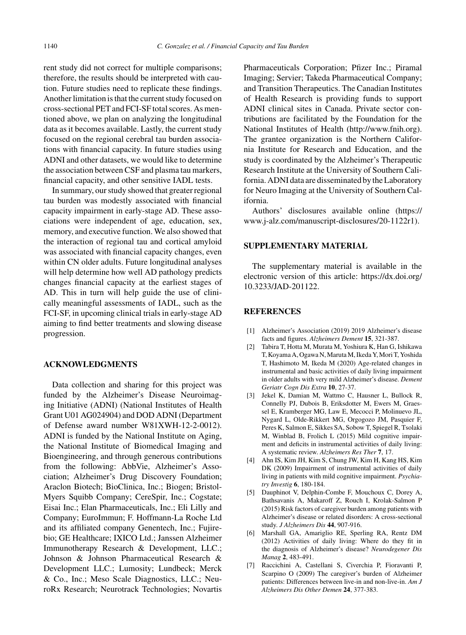rent study did not correct for multiple comparisons; therefore, the results should be interpreted with caution. Future studies need to replicate these findings. Another limitation is that the current study focused on cross-sectional PET and FCI-SF total scores. As mentioned above, we plan on analyzing the longitudinal data as it becomes available. Lastly, the current study focused on the regional cerebral tau burden associations with financial capacity. In future studies using ADNI and other datasets, we would like to determine the association between CSF and plasma tau markers, financial capacity, and other sensitive IADL tests.

In summary, our study showed that greater regional tau burden was modestly associated with financial capacity impairment in early-stage AD. These associations were independent of age, education, sex, memory, and executive function. We also showed that the interaction of regional tau and cortical amyloid was associated with financial capacity changes, even within CN older adults. Future longitudinal analyses will help determine how well AD pathology predicts changes financial capacity at the earliest stages of AD. This in turn will help guide the use of clinically meaningful assessments of IADL, such as the FCI-SF, in upcoming clinical trials in early-stage AD aiming to find better treatments and slowing disease progression.

# **ACKNOWLEDGMENTS**

Data collection and sharing for this project was funded by the Alzheimer's Disease Neuroimaging Initiative (ADNI) (National Institutes of Health Grant U01 AG024904) and DOD ADNI (Department of Defense award number W81XWH-12-2-0012). ADNI is funded by the National Institute on Aging, the National Institute of Biomedical Imaging and Bioengineering, and through generous contributions from the following: AbbVie, Alzheimer's Association; Alzheimer's Drug Discovery Foundation; Araclon Biotech; BioClinica, Inc.; Biogen; Bristol-Myers Squibb Company; CereSpir, Inc.; Cogstate; Eisai Inc.; Elan Pharmaceuticals, Inc.; Eli Lilly and Company; EuroImmun; F. Hoffmann-La Roche Ltd and its affiliated company Genentech, Inc.; Fujirebio; GE Healthcare; IXICO Ltd.; Janssen Alzheimer Immunotherapy Research & Development, LLC.; Johnson & Johnson Pharmaceutical Research & Development LLC.; Lumosity; Lundbeck; Merck & Co., Inc.; Meso Scale Diagnostics, LLC.; NeuroRx Research; Neurotrack Technologies; Novartis

Pharmaceuticals Corporation; Pfizer Inc.; Piramal Imaging; Servier; Takeda Pharmaceutical Company; and Transition Therapeutics. The Canadian Institutes of Health Research is providing funds to support ADNI clinical sites in Canada. Private sector contributions are facilitated by the Foundation for the National Institutes of Health [\(http://www.fnih.org](http://www.fnih.org)). The grantee organization is the Northern California Institute for Research and Education, and the study is coordinated by the Alzheimer's Therapeutic Research Institute at the University of Southern California. ADNI data are disseminated by the Laboratory for Neuro Imaging at the University of Southern California.

Authors' disclosures available online [\(https://](https://www.j-alz.com/manuscript-disclosures/20-1122r1) [www.j-alz.com/manuscript-disclosures/20-1122r1\)](https://www.j-alz.com/manuscript-disclosures/20-1122r1).

#### **SUPPLEMENTARY MATERIAL**

The supplementary material is available in the electronic version of this article: [https://dx.doi.org/](https://dx.doi.org/10.3233/JAD-201122) [10.3233/JAD-201122.](https://dx.doi.org/10.3233/JAD-201122)

### **REFERENCES**

- [1] Alzheimer's Association (2019) 2019 Alzheimer's disease facts and figures. *Alzheimers Dement* **15**, 321-387.
- [2] Tabira T, Hotta M, Murata M, Yoshiura K, Han G, Ishikawa T, Koyama A, Ogawa N, Maruta M, Ikeda Y, Mori T, Yoshida T, Hashimoto M, Ikeda M (2020) Age-related changes in instrumental and basic activities of daily living impairment in older adults with very mild Alzheimer's disease. *Dement Geriatr Cogn Dis Extra* **10**, 27-37.
- [3] Jekel K, Damian M, Wattmo C, Hausner L, Bullock R, Connelly PJ, Dubois B, Eriksdotter M, Ewers M, Graessel E, Kramberger MG, Law E, Mecocci P, Molinuevo JL, Nygard L, Olde-Rikkert MG, Orgogozo JM, Pasquier F, Peres K, Salmon E, Sikkes SA, Sobow T, Spiegel R, Tsolaki M, Winblad B, Frolich L (2015) Mild cognitive impairment and deficits in instrumental activities of daily living: A systematic review. *Alzheimers Res Ther* **7**, 17.
- [4] Ahn IS, Kim JH, Kim S, Chung JW, Kim H, Kang HS, Kim DK (2009) Impairment of instrumental activities of daily living in patients with mild cognitive impairment. *Psychiatry Investig* **6**, 180-184.
- [5] Dauphinot V, Delphin-Combe F, Mouchoux C, Dorey A, Bathsavanis A, Makaroff Z, Rouch I, Krolak-Salmon P (2015) Risk factors of caregiver burden among patients with Alzheimer's disease or related disorders: A cross-sectional study. *J Alzheimers Dis* **44**, 907-916.
- [6] Marshall GA, Amariglio RE, Sperling RA, Rentz DM (2012) Activities of daily living: Where do they fit in the diagnosis of Alzheimer's disease? *Neurodegener Dis Manag* **2**, 483-491.
- [7] Raccichini A, Castellani S, Civerchia P, Fioravanti P, Scarpino O (2009) The caregiver's burden of Alzheimer patients: Differences between live-in and non-live-in. *Am J Alzheimers Dis Other Demen* **24**, 377-383.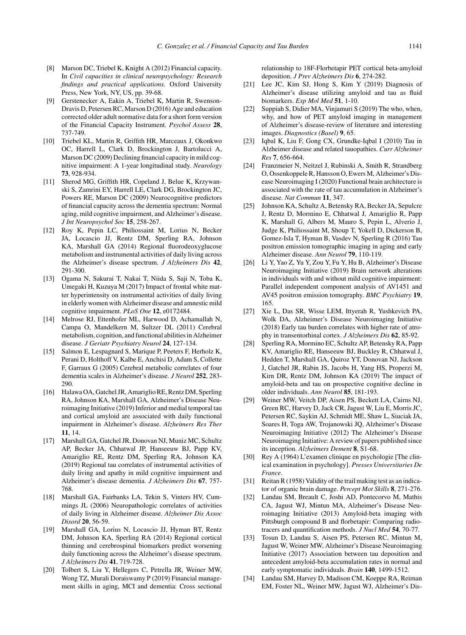- [8] Marson DC, Triebel K, Knight A (2012) Financial capacity. In *Civil capacities in clinical neuropsychology: Research findings and practical applications.* Oxford University Press, New York, NY, US, pp. 39-68.
- [9] Gerstenecker A, Eakin A, Triebel K, Martin R, Swenson-Dravis D, Petersen RC, Marson D (2016) Age and education corrected older adult normative data for a short form version of the Financial Capacity Instrument. *Psychol Assess* **28**, 737-749.
- [10] Triebel KL, Martin R, Griffith HR, Marceaux J, Okonkwo OC, Harrell L, Clark D, Brockington J, Bartolucci A, Marson DC (2009) Declining financial capacity in mild cognitive impairment: A 1-year longitudinal study. *Neurology* **73**, 928-934.
- [11] Sherod MG, Griffith HR, Copeland J, Belue K, Krzywanski S, Zamrini EY, Harrell LE, Clark DG, Brockington JC, Powers RE, Marson DC (2009) Neurocognitive predictors of financial capacity across the dementia spectrum: Normal aging, mild cognitive impairment, and Alzheimer's disease. *J Int Neuropsychol Soc* **15**, 258-267.
- [12] Roy K, Pepin LC, Philiossaint M, Lorius N, Becker JA, Locascio JJ, Rentz DM, Sperling RA, Johnson KA, Marshall GA (2014) Regional fluorodeoxyglucose metabolism and instrumental activities of daily living across the Alzheimer's disease spectrum. *J Alzheimers Dis* **42**, 291-300.
- [13] Ogama N, Sakurai T, Nakai T, Niida S, Saji N, Toba K, Umegaki H, Kuzuya M (2017) Impact of frontal white matter hyperintensity on instrumental activities of daily living in elderly women with Alzheimer disease and amnestic mild cognitive impairment. *PLoS One* **12**, e0172484.
- [14] Melrose RJ, Ettenhofer ML, Harwood D, Achamallah N, Campa O, Mandelkern M, Sultzer DL (2011) Cerebral metabolism, cognition, and functional abilities in Alzheimer disease. *J Geriatr Psychiatry Neurol* **24**, 127-134.
- [15] Salmon E, Lespagnard S, Marique P, Peeters F, Herholz K, Perani D, Holthoff V, Kalbe E, Anchisi D, Adam S, Collette F, Garraux G (2005) Cerebral metabolic correlates of four dementia scales in Alzheimer's disease. *J Neurol* **252**, 283- 290.
- [16] Halawa OA, Gatchel JR, Amariglio RE, Rentz DM, Sperling RA, Johnson KA, Marshall GA, Alzheimer's Disease Neuroimaging Initiative (2019) Inferior and medial temporal tau and cortical amyloid are associated with daily functional impairment in Alzheimer's disease. *Alzheimers Res Ther* **11**, 14.
- [17] Marshall GA, Gatchel JR, Donovan NJ, Muniz MC, Schultz AP, Becker JA, Chhatwal JP, Hanseeuw BJ, Papp KV, Amariglio RE, Rentz DM, Sperling RA, Johnson KA (2019) Regional tau correlates of instrumental activities of daily living and apathy in mild cognitive impairment and Alzheimer's disease dementia. *J Alzheimers Dis* **67**, 757- 768.
- [18] Marshall GA, Fairbanks LA, Tekin S, Vinters HV, Cummings JL (2006) Neuropathologic correlates of activities of daily living in Alzheimer disease. *Alzheimer Dis Assoc Disord* **20**, 56-59.
- [19] Marshall GA, Lorius N, Locascio JJ, Hyman BT, Rentz DM, Johnson KA, Sperling RA (2014) Regional cortical thinning and cerebrospinal biomarkers predict worsening daily functioning across the Alzheimer's disease spectrum. *J Alzheimers Dis* **41**, 719-728.
- [20] Tolbert S, Liu Y, Hellegers C, Petrella JR, Weiner MW, Wong TZ, Murali Doraiswamy P (2019) Financial management skills in aging, MCI and dementia: Cross sectional

relationship to 18F-Florbetapir PET cortical beta-amyloid deposition. *J Prev Alzheimers Dis* **6**, 274-282.

- [21] Lee JC, Kim SJ, Hong S, Kim Y (2019) Diagnosis of Alzheimer's disease utilizing amyloid and tau as fluid biomarkers. *Exp Mol Med* **51**, 1-10.
- [22] Suppiah S, Didier MA, Vinjamuri S (2019) The who, when, why, and how of PET amyloid imaging in management of Alzheimer's disease-review of literature and interesting images. *Diagnostics (Basel)* **9**, 65.
- [23] Iqbal K, Liu F, Gong CX, Grundke-Iqbal I (2010) Tau in Alzheimer disease and related tauopathies. *Curr Alzheimer Res* **7**, 656-664.
- [24] Franzmeier N, Neitzel J, Rubinski A, Smith R, Strandberg O, Ossenkoppele R, Hansson O, Ewers M, Alzheimer's Disease Neuroimaging I (2020) Functional brain architecture is associated with the rate of tau accumulation in Alzheimer's disease. *Nat Commun* **11**, 347.
- [25] Johnson KA, Schultz A, Betensky RA, Becker JA, Sepulcre J, Rentz D, Mormino E, Chhatwal J, Amariglio R, Papp K, Marshall G, Albers M, Mauro S, Pepin L, Alverio J, Judge K, Philiossaint M, Shoup T, Yokell D, Dickerson B, Gomez-Isla T, Hyman B, Vasdev N, Sperling R (2016) Tau positron emission tomographic imaging in aging and early Alzheimer disease. *Ann Neurol* **79**, 110-119.
- [26] Li Y, Yao Z, Yu Y, Zou Y, Fu Y, Hu B, Alzheimer's Disease Neuroimaging Initiative (2019) Brain network alterations in individuals with and without mild cognitive impairment: Parallel independent component analysis of AV1451 and AV45 positron emission tomography. *BMC Psychiatry* **19**, 165.
- [27] Xie L, Das SR, Wisse LEM, Ittyerah R, Yushkevich PA, Wolk DA, Alzheimer's Disease Neuroimaging Initiative (2018) Early tau burden correlates with higher rate of atrophy in transentorhinal cortex. *J Alzheimers Dis* **62**, 85-92.
- [28] Sperling RA, Mormino EC, Schultz AP, Betensky RA, Papp KV, Amariglio RE, Hanseeuw BJ, Buckley R, Chhatwal J, Hedden T, Marshall GA, Quiroz YT, Donovan NJ, Jackson J, Gatchel JR, Rabin JS, Jacobs H, Yang HS, Properzi M, Kirn DR, Rentz DM, Johnson KA (2019) The impact of amyloid-beta and tau on prospective cognitive decline in older individuals. *Ann Neurol* **85**, 181-193.
- [29] Weiner MW, Veitch DP, Aisen PS, Beckett LA, Cairns NJ, Green RC, Harvey D, Jack CR, Jagust W, Liu E, Morris JC, Petersen RC, Saykin AJ, Schmidt ME, Shaw L, Siuciak JA, Soares H, Toga AW, Trojanowski JQ, Alzheimer's Disease Neuroimaging Initiative (2012) The Alzheimer's Disease Neuroimaging Initiative: A review of papers published since its inception. *Alzheimers Dement* **8**, S1-68.
- [30] Rey A (1964) L'examen clinique en psychologie [The clinical examination in psychology]. *Presses Universitaries De France*.
- [31] Reitan R (1958) Validity of the trail making test as an indicator of organic brain damage. *Percept Mot Skills* **8**, 271-276.
- [32] Landau SM, Breault C, Joshi AD, Pontecorvo M, Mathis CA, Jagust WJ, Mintun MA, Alzheimer's Disease Neuroimaging Initiative (2013) Amyloid-beta imaging with Pittsburgh compound B and florbetapir: Comparing radiotracers and quantification methods. *J Nucl Med* **54**, 70-77.
- [33] Tosun D, Landau S, Aisen PS, Petersen RC, Mintun M, Jagust W, Weiner MW, Alzheimer's Disease Neuroimaging Initiative (2017) Association between tau deposition and antecedent amyloid-beta accumulation rates in normal and early symptomatic individuals. *Brain* **140**, 1499-1512.
- [34] Landau SM, Harvey D, Madison CM, Koeppe RA, Reiman EM, Foster NL, Weiner MW, Jagust WJ, Alzheimer's Dis-